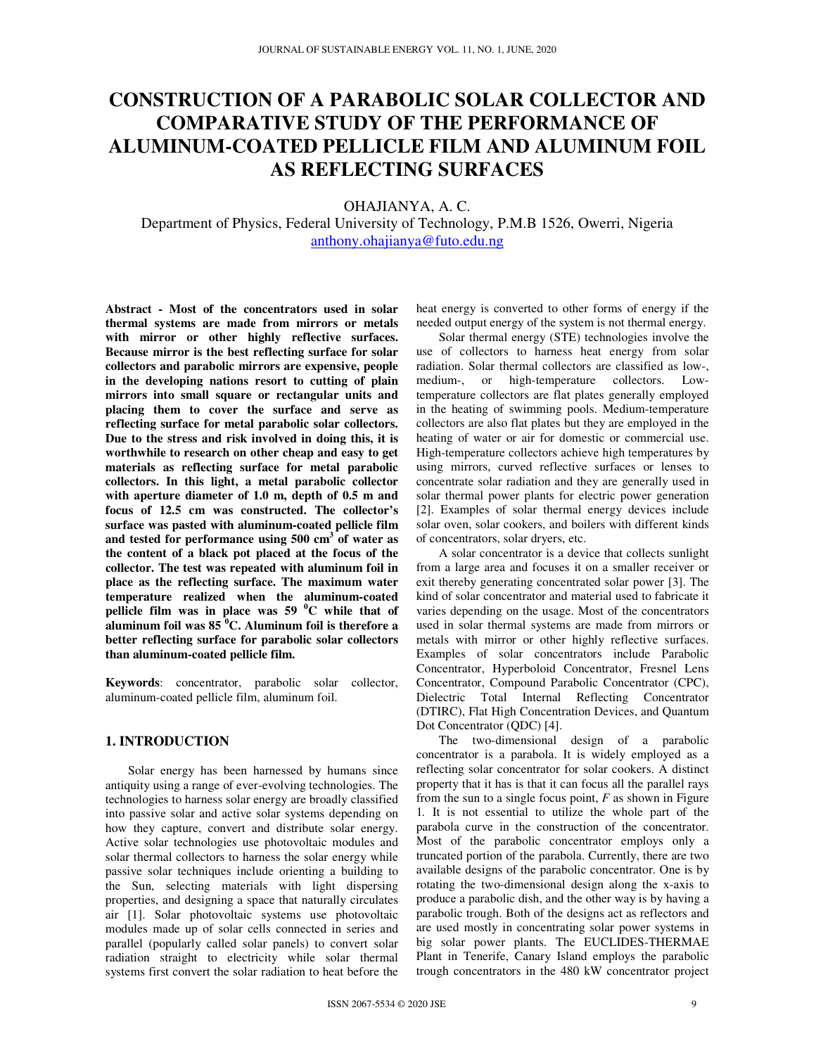# **CONSTRUCTION OF A PARABOLIC SOLAR COLLECTOR AND COMPARATIVE STUDY OF THE PERFORMANCE OF ALUMINUM-COATED PELLICLE FILM AND ALUMINUM FOIL AS REFLECTING SURFACES**

## OHAJIANYA, A. C.

Department of Physics, Federal University of Technology, P.M.B 1526, Owerri, Nigeria anthony.ohajianya@futo.edu.ng

**Abstract - Most of the concentrators used in solar thermal systems are made from mirrors or metals with mirror or other highly reflective surfaces. Because mirror is the best reflecting surface for solar collectors and parabolic mirrors are expensive, people in the developing nations resort to cutting of plain mirrors into small square or rectangular units and placing them to cover the surface and serve as reflecting surface for metal parabolic solar collectors. Due to the stress and risk involved in doing this, it is worthwhile to research on other cheap and easy to get materials as reflecting surface for metal parabolic collectors. In this light, a metal parabolic collector with aperture diameter of 1.0 m, depth of 0.5 m and focus of 12.5 cm was constructed. The collector's surface was pasted with aluminum-coated pellicle film and tested for performance using 500 cm<sup>3</sup> of water as the content of a black pot placed at the focus of the collector. The test was repeated with aluminum foil in place as the reflecting surface. The maximum water temperature realized when the aluminum-coated pellicle film was in place was 59 <sup>0</sup>C while that of aluminum foil was 85 <sup>0</sup>C. Aluminum foil is therefore a better reflecting surface for parabolic solar collectors than aluminum-coated pellicle film.** 

**Keywords**: concentrator, parabolic solar collector, aluminum-coated pellicle film, aluminum foil.

## **1. INTRODUCTION**

Solar energy has been harnessed by humans since antiquity using a range of ever-evolving technologies. The technologies to harness solar energy are broadly classified into passive solar and active solar systems depending on how they capture, convert and distribute solar energy. Active solar technologies use photovoltaic modules and solar thermal collectors to harness the solar energy while passive solar techniques include orienting a building to the Sun, selecting materials with light dispersing properties, and designing a space that naturally circulates air [1]. Solar photovoltaic systems use photovoltaic modules made up of solar cells connected in series and parallel (popularly called solar panels) to convert solar radiation straight to electricity while solar thermal systems first convert the solar radiation to heat before the heat energy is converted to other forms of energy if the needed output energy of the system is not thermal energy.

Solar thermal energy (STE) technologies involve the use of collectors to harness heat energy from solar radiation. Solar thermal collectors are classified as low-, medium-, or high-temperature collectors. Lowtemperature collectors are flat plates generally employed in the heating of swimming pools. Medium-temperature collectors are also flat plates but they are employed in the heating of water or air for domestic or commercial use. High-temperature collectors achieve high temperatures by using mirrors, curved reflective surfaces or lenses to concentrate solar radiation and they are generally used in solar thermal power plants for electric power generation [2]. Examples of solar thermal energy devices include solar oven, solar cookers, and boilers with different kinds of concentrators, solar dryers, etc.

A solar concentrator is a device that collects sunlight from a large area and focuses it on a smaller receiver or exit thereby generating concentrated solar power [3]. The kind of solar concentrator and material used to fabricate it varies depending on the usage. Most of the concentrators used in solar thermal systems are made from mirrors or metals with mirror or other highly reflective surfaces. Examples of solar concentrators include Parabolic Concentrator, Hyperboloid Concentrator, Fresnel Lens Concentrator, Compound Parabolic Concentrator (CPC), Dielectric Total Internal Reflecting Concentrator (DTIRC), Flat High Concentration Devices, and Quantum Dot Concentrator (QDC) [4].

The two-dimensional design of a parabolic concentrator is a parabola. It is widely employed as a reflecting solar concentrator for solar cookers. A distinct property that it has is that it can focus all the parallel rays from the sun to a single focus point, *F* as shown in Figure 1*.* It is not essential to utilize the whole part of the parabola curve in the construction of the concentrator. Most of the parabolic concentrator employs only a truncated portion of the parabola. Currently, there are two available designs of the parabolic concentrator. One is by rotating the two-dimensional design along the x-axis to produce a parabolic dish, and the other way is by having a parabolic trough. Both of the designs act as reflectors and are used mostly in concentrating solar power systems in big solar power plants. The EUCLIDES-THERMAE Plant in Tenerife, Canary Island employs the parabolic trough concentrators in the 480 kW concentrator project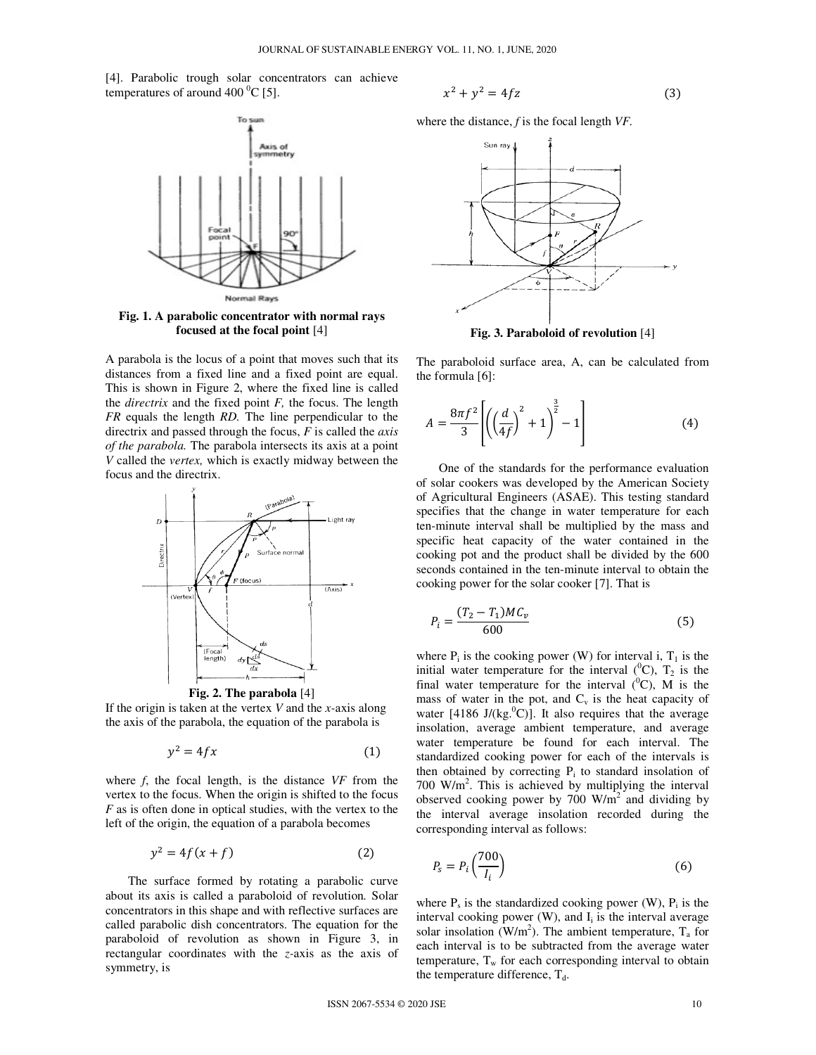[4]. Parabolic trough solar concentrators can achieve temperatures of around 400  $^{\circ}$ C [5].



**Fig. 1. A parabolic concentrator with normal rays focused at the focal point** [4]

A parabola is the locus of a point that moves such that its distances from a fixed line and a fixed point are equal. This is shown in Figure 2, where the fixed line is called the *directrix* and the fixed point *F,* the focus. The length *FR* equals the length *RD.* The line perpendicular to the directrix and passed through the focus, *F* is called the *axis of the parabola.* The parabola intersects its axis at a point *V* called the *vertex,* which is exactly midway between the focus and the directrix.



**Fig. 2. The parabola** [4]

If the origin is taken at the vertex *V* and the *x-*axis along the axis of the parabola, the equation of the parabola is

$$
y^2 = 4fx \tag{1}
$$

where *f*, the focal length, is the distance *VF* from the vertex to the focus. When the origin is shifted to the focus *F* as is often done in optical studies, with the vertex to the left of the origin, the equation of a parabola becomes

$$
y^2 = 4f(x+f) \tag{2}
$$

The surface formed by rotating a parabolic curve about its axis is called a paraboloid of revolution*.* Solar concentrators in this shape and with reflective surfaces are called parabolic dish concentrators. The equation for the paraboloid of revolution as shown in Figure 3, in rectangular coordinates with the *z-*axis as the axis of symmetry, is

$$
x^2 + y^2 = 4fz \tag{3}
$$

where the distance, *f* is the focal length *VF.*



**Fig. 3. Paraboloid of revolution** [4]

The paraboloid surface area, A, can be calculated from the formula [6]:

$$
A = \frac{8\pi f^2}{3} \left[ \left( \left( \frac{d}{4f} \right)^2 + 1 \right)^{\frac{3}{2}} - 1 \right]
$$
 (4)

One of the standards for the performance evaluation of solar cookers was developed by the American Society of Agricultural Engineers (ASAE). This testing standard specifies that the change in water temperature for each ten-minute interval shall be multiplied by the mass and specific heat capacity of the water contained in the cooking pot and the product shall be divided by the 600 seconds contained in the ten-minute interval to obtain the cooking power for the solar cooker [7]. That is

$$
P_i = \frac{(T_2 - T_1)MC_v}{600}
$$
 (5)

where  $P_i$  is the cooking power (W) for interval i,  $T_1$  is the initial water temperature for the interval  $({}^{0}C)$ ,  $T_2$  is the final water temperature for the interval  $(^{0}C)$ . M is the mass of water in the pot, and  $C_v$  is the heat capacity of water [4186 J/(kg.<sup>0</sup>C)]. It also requires that the average insolation, average ambient temperature, and average water temperature be found for each interval. The standardized cooking power for each of the intervals is then obtained by correcting  $P_i$  to standard insolation of 700 W/ $m<sup>2</sup>$ . This is achieved by multiplying the interval observed cooking power by  $700 \text{ W/m}^2$  and dividing by the interval average insolation recorded during the corresponding interval as follows:

$$
P_s = P_i \left(\frac{700}{I_i}\right) \tag{6}
$$

where  $P_s$  is the standardized cooking power (W),  $P_i$  is the interval cooking power  $(W)$ , and  $I_i$  is the interval average solar insolation (W/m<sup>2</sup>). The ambient temperature,  $T_a$  for each interval is to be subtracted from the average water temperature,  $T_w$  for each corresponding interval to obtain the temperature difference,  $T_d$ .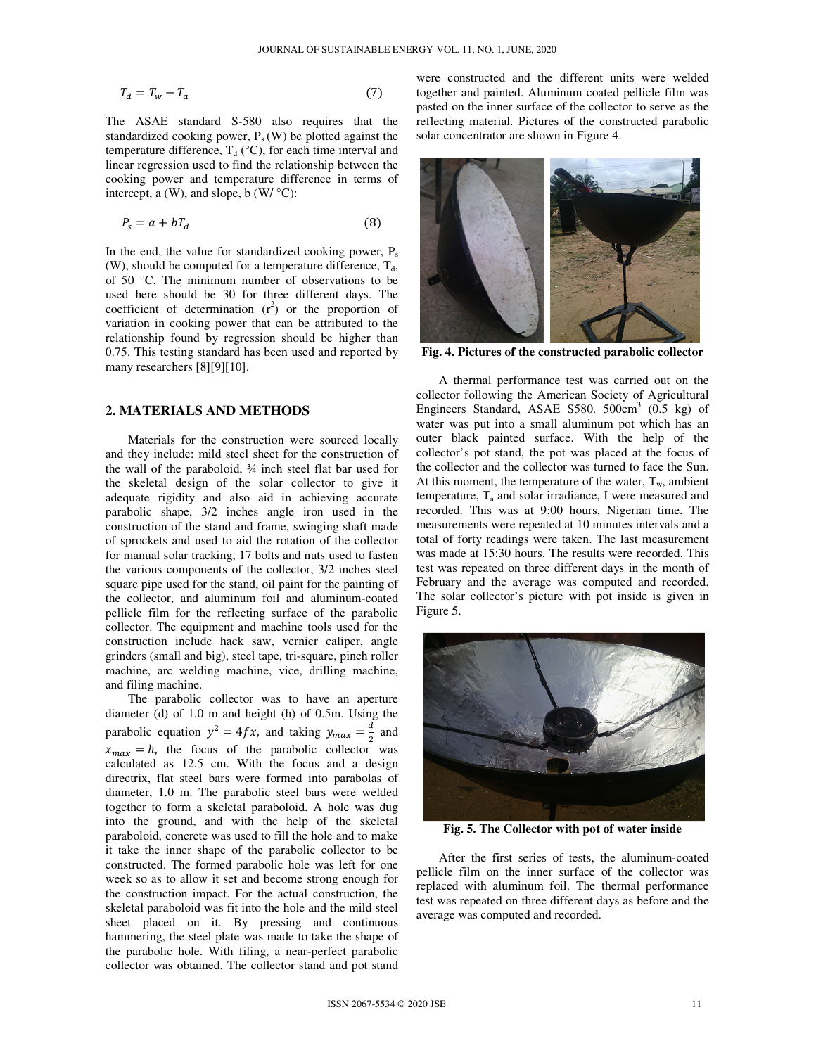$$
T_d = T_w - T_a \tag{7}
$$

The ASAE standard S-580 also requires that the standardized cooking power,  $P_s(W)$  be plotted against the temperature difference,  $T_d$  (°C), for each time interval and linear regression used to find the relationship between the cooking power and temperature difference in terms of intercept, a  $(W)$ , and slope, b  $(W / C)$ :

$$
P_s = a + bT_d \tag{8}
$$

In the end, the value for standardized cooking power,  $P_s$ (W), should be computed for a temperature difference,  $T_d$ , of 50 °C. The minimum number of observations to be used here should be 30 for three different days. The coefficient of determination  $(r^2)$  or the proportion of variation in cooking power that can be attributed to the relationship found by regression should be higher than 0.75. This testing standard has been used and reported by many researchers [8][9][10].

## **2. MATERIALS AND METHODS**

Materials for the construction were sourced locally and they include: mild steel sheet for the construction of the wall of the paraboloid, ¾ inch steel flat bar used for the skeletal design of the solar collector to give it adequate rigidity and also aid in achieving accurate parabolic shape, 3/2 inches angle iron used in the construction of the stand and frame, swinging shaft made of sprockets and used to aid the rotation of the collector for manual solar tracking, 17 bolts and nuts used to fasten the various components of the collector, 3/2 inches steel square pipe used for the stand, oil paint for the painting of the collector, and aluminum foil and aluminum-coated pellicle film for the reflecting surface of the parabolic collector. The equipment and machine tools used for the construction include hack saw, vernier caliper, angle grinders (small and big), steel tape, tri-square, pinch roller machine, arc welding machine, vice, drilling machine, and filing machine.

The parabolic collector was to have an aperture diameter (d) of 1.0 m and height (h) of 0.5m. Using the parabolic equation  $y^2 = 4fx$ , and taking  $y_{max} = \frac{d}{2}$  $\frac{a}{2}$  and  $x_{max} = h$ , the focus of the parabolic collector was calculated as 12.5 cm. With the focus and a design directrix, flat steel bars were formed into parabolas of diameter, 1.0 m. The parabolic steel bars were welded together to form a skeletal paraboloid. A hole was dug into the ground, and with the help of the skeletal paraboloid, concrete was used to fill the hole and to make it take the inner shape of the parabolic collector to be constructed. The formed parabolic hole was left for one week so as to allow it set and become strong enough for the construction impact. For the actual construction, the skeletal paraboloid was fit into the hole and the mild steel sheet placed on it. By pressing and continuous hammering, the steel plate was made to take the shape of the parabolic hole. With filing, a near-perfect parabolic collector was obtained. The collector stand and pot stand

were constructed and the different units were welded together and painted. Aluminum coated pellicle film was pasted on the inner surface of the collector to serve as the reflecting material. Pictures of the constructed parabolic solar concentrator are shown in Figure 4.



**Fig. 4. Pictures of the constructed parabolic collector** 

A thermal performance test was carried out on the collector following the American Society of Agricultural Engineers Standard, ASAE S580.  $500 \text{cm}^3$  (0.5 kg) of water was put into a small aluminum pot which has an outer black painted surface. With the help of the collector's pot stand, the pot was placed at the focus of the collector and the collector was turned to face the Sun. At this moment, the temperature of the water,  $T_w$ , ambient temperature,  $T_a$  and solar irradiance, I were measured and recorded. This was at 9:00 hours, Nigerian time. The measurements were repeated at 10 minutes intervals and a total of forty readings were taken. The last measurement was made at 15:30 hours. The results were recorded. This test was repeated on three different days in the month of February and the average was computed and recorded. The solar collector's picture with pot inside is given in Figure 5.



**Fig. 5. The Collector with pot of water inside** 

After the first series of tests, the aluminum-coated pellicle film on the inner surface of the collector was replaced with aluminum foil. The thermal performance test was repeated on three different days as before and the average was computed and recorded.